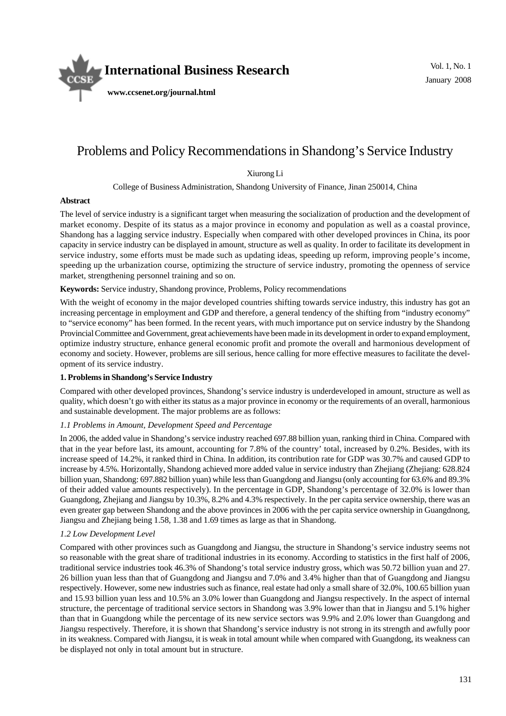

# Problems and Policy Recommendations in Shandong's Service Industry

Xiurong Li

College of Business Administration, Shandong University of Finance, Jinan 250014, China

#### **Abstract**

The level of service industry is a significant target when measuring the socialization of production and the development of market economy. Despite of its status as a major province in economy and population as well as a coastal province, Shandong has a lagging service industry. Especially when compared with other developed provinces in China, its poor capacity in service industry can be displayed in amount, structure as well as quality. In order to facilitate its development in service industry, some efforts must be made such as updating ideas, speeding up reform, improving people's income, speeding up the urbanization course, optimizing the structure of service industry, promoting the openness of service market, strengthening personnel training and so on.

#### **Keywords:** Service industry, Shandong province, Problems, Policy recommendations

With the weight of economy in the major developed countries shifting towards service industry, this industry has got an increasing percentage in employment and GDP and therefore, a general tendency of the shifting from "industry economy" to "service economy" has been formed. In the recent years, with much importance put on service industry by the Shandong Provincial Committee and Government, great achievements have been made in its development in order to expand employment, optimize industry structure, enhance general economic profit and promote the overall and harmonious development of economy and society. However, problems are sill serious, hence calling for more effective measures to facilitate the development of its service industry.

#### **1. Problems in Shandong's Service Industry**

Compared with other developed provinces, Shandong's service industry is underdeveloped in amount, structure as well as quality, which doesn't go with either its status as a major province in economy or the requirements of an overall, harmonious and sustainable development. The major problems are as follows:

#### *1.1 Problems in Amount, Development Speed and Percentage*

In 2006, the added value in Shandong's service industry reached 697.88 billion yuan, ranking third in China. Compared with that in the year before last, its amount, accounting for 7.8% of the country' total, increased by 0.2%. Besides, with its increase speed of 14.2%, it ranked third in China. In addition, its contribution rate for GDP was 30.7% and caused GDP to increase by 4.5%. Horizontally, Shandong achieved more added value in service industry than Zhejiang (Zhejiang: 628.824 billion yuan, Shandong: 697.882 billion yuan) while less than Guangdong and Jiangsu (only accounting for 63.6% and 89.3% of their added value amounts respectively). In the percentage in GDP, Shandong's percentage of 32.0% is lower than Guangdong, Zhejiang and Jiangsu by 10.3%, 8.2% and 4.3% respectively. In the per capita service ownership, there was an even greater gap between Shandong and the above provinces in 2006 with the per capita service ownership in Guangdnong, Jiangsu and Zhejiang being 1.58, 1.38 and 1.69 times as large as that in Shandong.

#### *1.2 Low Development Level*

Compared with other provinces such as Guangdong and Jiangsu, the structure in Shandong's service industry seems not so reasonable with the great share of traditional industries in its economy. According to statistics in the first half of 2006, traditional service industries took 46.3% of Shandong's total service industry gross, which was 50.72 billion yuan and 27. 26 billion yuan less than that of Guangdong and Jiangsu and 7.0% and 3.4% higher than that of Guangdong and Jiangsu respectively. However, some new industries such as finance, real estate had only a small share of 32.0%, 100.65 billion yuan and 15.93 billion yuan less and 10.5% an 3.0% lower than Guangdong and Jiangsu respectively. In the aspect of internal structure, the percentage of traditional service sectors in Shandong was 3.9% lower than that in Jiangsu and 5.1% higher than that in Guangdong while the percentage of its new service sectors was 9.9% and 2.0% lower than Guangdong and Jiangsu respectively. Therefore, it is shown that Shandong's service industry is not strong in its strength and awfully poor in its weakness. Compared with Jiangsu, it is weak in total amount while when compared with Guangdong, its weakness can be displayed not only in total amount but in structure.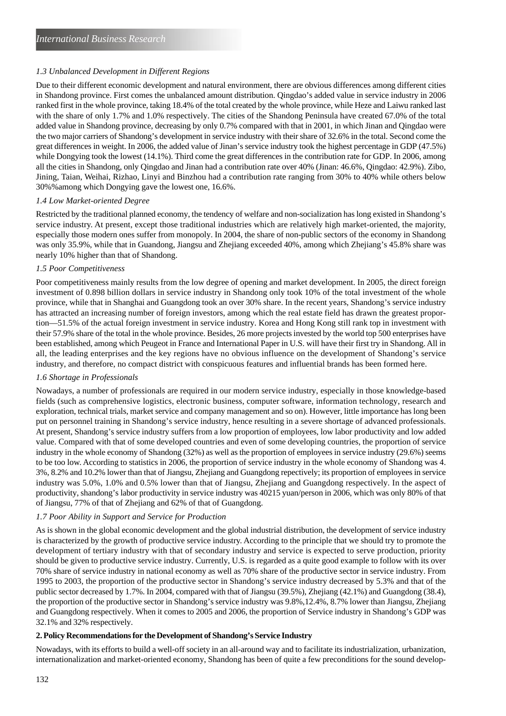## *1.3 Unbalanced Development in Different Regions*

Due to their different economic development and natural environment, there are obvious differences among different cities in Shandong province. First comes the unbalanced amount distribution. Qingdao's added value in service industry in 2006 ranked first in the whole province, taking 18.4% of the total created by the whole province, while Heze and Laiwu ranked last with the share of only 1.7% and 1.0% respectively. The cities of the Shandong Peninsula have created 67.0% of the total added value in Shandong province, decreasing by only 0.7% compared with that in 2001, in which Jinan and Qingdao were the two major carriers of Shandong's development in service industry with their share of 32.6% in the total. Second come the great differences in weight. In 2006, the added value of Jinan's service industry took the highest percentage in GDP (47.5%) while Dongying took the lowest (14.1%). Third come the great differences in the contribution rate for GDP. In 2006, among all the cities in Shandong, only Qingdao and Jinan had a contribution rate over 40% (Jinan: 46.6%, Qingdao: 42.9%). Zibo, Jining, Taian, Weihai, Rizhao, Linyi and Binzhou had a contribution rate ranging from 30% to 40% while others below 30%%among which Dongying gave the lowest one, 16.6%.

#### *1.4 Low Market-oriented Degree*

Restricted by the traditional planned economy, the tendency of welfare and non-socialization has long existed in Shandong's service industry. At present, except those traditional industries which are relatively high market-oriented, the majority, especially those modern ones suffer from monopoly. In 2004, the share of non-public sectors of the economy in Shandong was only 35.9%, while that in Guandong, Jiangsu and Zhejiang exceeded 40%, among which Zhejiang's 45.8% share was nearly 10% higher than that of Shandong.

#### *1.5 Poor Competitiveness*

Poor competitiveness mainly results from the low degree of opening and market development. In 2005, the direct foreign investment of 0.898 billion dollars in service industry in Shandong only took 10% of the total investment of the whole province, while that in Shanghai and Guangdong took an over 30% share. In the recent years, Shandong's service industry has attracted an increasing number of foreign investors, among which the real estate field has drawn the greatest proportion—51.5% of the actual foreign investment in service industry. Korea and Hong Kong still rank top in investment with their 57.9% share of the total in the whole province. Besides, 26 more projects invested by the world top 500 enterprises have been established, among which Peugeot in France and International Paper in U.S. will have their first try in Shandong. All in all, the leading enterprises and the key regions have no obvious influence on the development of Shandong's service industry, and therefore, no compact district with conspicuous features and influential brands has been formed here.

#### *1.6 Shortage in Professionals*

Nowadays, a number of professionals are required in our modern service industry, especially in those knowledge-based fields (such as comprehensive logistics, electronic business, computer software, information technology, research and exploration, technical trials, market service and company management and so on). However, little importance has long been put on personnel training in Shandong's service industry, hence resulting in a severe shortage of advanced professionals. At present, Shandong's service industry suffers from a low proportion of employees, low labor productivity and low added value. Compared with that of some developed countries and even of some developing countries, the proportion of service industry in the whole economy of Shandong (32%) as well as the proportion of employees in service industry (29.6%) seems to be too low. According to statistics in 2006, the proportion of service industry in the whole economy of Shandong was 4. 3%, 8.2% and 10.2% lower than that of Jiangsu, Zhejiang and Guangdong repectively; its proportion of employees in service industry was 5.0%, 1.0% and 0.5% lower than that of Jiangsu, Zhejiang and Guangdong respectively. In the aspect of productivity, shandong's labor productivity in service industry was 40215 yuan/person in 2006, which was only 80% of that of Jiangsu, 77% of that of Zhejiang and 62% of that of Guangdong.

#### *1.7 Poor Ability in Support and Service for Production*

As is shown in the global economic development and the global industrial distribution, the development of service industry is characterized by the growth of productive service industry. According to the principle that we should try to promote the development of tertiary industry with that of secondary industry and service is expected to serve production, priority should be given to productive service industry. Currently, U.S. is regarded as a quite good example to follow with its over 70% share of service industry in national economy as well as 70% share of the productive sector in service industry. From 1995 to 2003, the proportion of the productive sector in Shandong's service industry decreased by 5.3% and that of the public sector decreased by 1.7%. In 2004, compared with that of Jiangsu (39.5%), Zhejiang (42.1%) and Guangdong (38.4), the proportion of the productive sector in Shandong's service industry was 9.8%,12.4%, 8.7% lower than Jiangsu, Zhejiang and Guangdong respectively. When it comes to 2005 and 2006, the proportion of Service industry in Shandong's GDP was 32.1% and 32% respectively.

#### **2. Policy Recommendations for the Development of Shandong's Service Industry**

Nowadays, with its efforts to build a well-off society in an all-around way and to facilitate its industrialization, urbanization, internationalization and market-oriented economy, Shandong has been of quite a few preconditions for the sound develop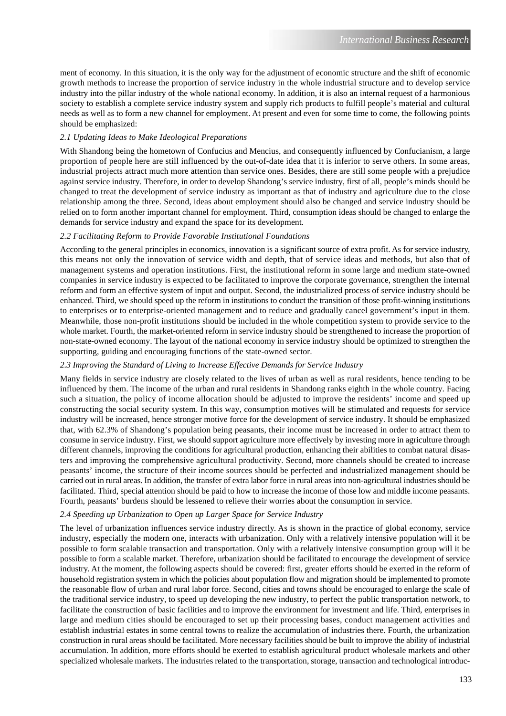ment of economy. In this situation, it is the only way for the adjustment of economic structure and the shift of economic growth methods to increase the proportion of service industry in the whole industrial structure and to develop service industry into the pillar industry of the whole national economy. In addition, it is also an internal request of a harmonious society to establish a complete service industry system and supply rich products to fulfill people's material and cultural needs as well as to form a new channel for employment. At present and even for some time to come, the following points should be emphasized:

#### *2.1 Updating Ideas to Make Ideological Preparations*

With Shandong being the hometown of Confucius and Mencius, and consequently influenced by Confucianism, a large proportion of people here are still influenced by the out-of-date idea that it is inferior to serve others. In some areas, industrial projects attract much more attention than service ones. Besides, there are still some people with a prejudice against service industry. Therefore, in order to develop Shandong's service industry, first of all, people's minds should be changed to treat the development of service industry as important as that of industry and agriculture due to the close relationship among the three. Second, ideas about employment should also be changed and service industry should be relied on to form another important channel for employment. Third, consumption ideas should be changed to enlarge the demands for service industry and expand the space for its development.

#### *2.2 Facilitating Reform to Provide Favorable Institutional Foundations*

According to the general principles in economics, innovation is a significant source of extra profit. As for service industry, this means not only the innovation of service width and depth, that of service ideas and methods, but also that of management systems and operation institutions. First, the institutional reform in some large and medium state-owned companies in service industry is expected to be facilitated to improve the corporate governance, strengthen the internal reform and form an effective system of input and output. Second, the industrialized process of service industry should be enhanced. Third, we should speed up the reform in institutions to conduct the transition of those profit-winning institutions to enterprises or to enterprise-oriented management and to reduce and gradually cancel government's input in them. Meanwhile, those non-profit institutions should be included in the whole competition system to provide service to the whole market. Fourth, the market-oriented reform in service industry should be strengthened to increase the proportion of non-state-owned economy. The layout of the national economy in service industry should be optimized to strengthen the supporting, guiding and encouraging functions of the state-owned sector.

#### *2.3 Improving the Standard of Living to Increase Effective Demands for Service Industry*

Many fields in service industry are closely related to the lives of urban as well as rural residents, hence tending to be influenced by them. The income of the urban and rural residents in Shandong ranks eighth in the whole country. Facing such a situation, the policy of income allocation should be adjusted to improve the residents' income and speed up constructing the social security system. In this way, consumption motives will be stimulated and requests for service industry will be increased, hence stronger motive force for the development of service industry. It should be emphasized that, with 62.3% of Shandong's population being peasants, their income must be increased in order to attract them to consume in service industry. First, we should support agriculture more effectively by investing more in agriculture through different channels, improving the conditions for agricultural production, enhancing their abilities to combat natural disasters and improving the comprehensive agricultural productivity. Second, more channels should be created to increase peasants' income, the structure of their income sources should be perfected and industrialized management should be carried out in rural areas. In addition, the transfer of extra labor force in rural areas into non-agricultural industries should be facilitated. Third, special attention should be paid to how to increase the income of those low and middle income peasants. Fourth, peasants' burdens should be lessened to relieve their worries about the consumption in service.

### *2.4 Speeding up Urbanization to Open up Larger Space for Service Industry*

The level of urbanization influences service industry directly. As is shown in the practice of global economy, service industry, especially the modern one, interacts with urbanization. Only with a relatively intensive population will it be possible to form scalable transaction and transportation. Only with a relatively intensive consumption group will it be possible to form a scalable market. Therefore, urbanization should be facilitated to encourage the development of service industry. At the moment, the following aspects should be covered: first, greater efforts should be exerted in the reform of household registration system in which the policies about population flow and migration should be implemented to promote the reasonable flow of urban and rural labor force. Second, cities and towns should be encouraged to enlarge the scale of the traditional service industry, to speed up developing the new industry, to perfect the public transportation network, to facilitate the construction of basic facilities and to improve the environment for investment and life. Third, enterprises in large and medium cities should be encouraged to set up their processing bases, conduct management activities and establish industrial estates in some central towns to realize the accumulation of industries there. Fourth, the urbanization construction in rural areas should be facilitated. More necessary facilities should be built to improve the ability of industrial accumulation. In addition, more efforts should be exerted to establish agricultural product wholesale markets and other specialized wholesale markets. The industries related to the transportation, storage, transaction and technological introduc